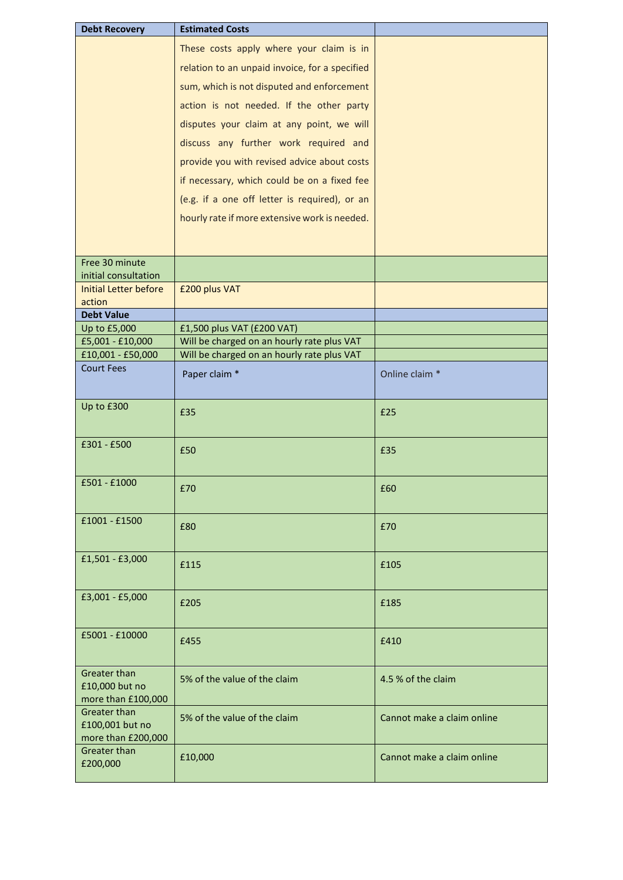| <b>Debt Recovery</b>                                  | <b>Estimated Costs</b>                         |                            |
|-------------------------------------------------------|------------------------------------------------|----------------------------|
|                                                       | These costs apply where your claim is in       |                            |
|                                                       | relation to an unpaid invoice, for a specified |                            |
|                                                       |                                                |                            |
|                                                       | sum, which is not disputed and enforcement     |                            |
|                                                       | action is not needed. If the other party       |                            |
|                                                       | disputes your claim at any point, we will      |                            |
|                                                       | discuss any further work required and          |                            |
|                                                       | provide you with revised advice about costs    |                            |
|                                                       | if necessary, which could be on a fixed fee    |                            |
|                                                       | (e.g. if a one off letter is required), or an  |                            |
|                                                       | hourly rate if more extensive work is needed.  |                            |
|                                                       |                                                |                            |
|                                                       |                                                |                            |
| Free 30 minute                                        |                                                |                            |
| initial consultation                                  |                                                |                            |
| <b>Initial Letter before</b><br>action                | £200 plus VAT                                  |                            |
| <b>Debt Value</b>                                     |                                                |                            |
| Up to £5,000                                          | £1,500 plus VAT (£200 VAT)                     |                            |
| £5,001 - £10,000                                      | Will be charged on an hourly rate plus VAT     |                            |
| £10,001 - £50,000                                     | Will be charged on an hourly rate plus VAT     |                            |
| <b>Court Fees</b>                                     | Paper claim *                                  | Online claim *             |
|                                                       |                                                |                            |
|                                                       |                                                |                            |
| Up to £300                                            | £35                                            | £25                        |
| £301 - £500                                           | £50                                            | £35                        |
| £501 - £1000                                          | £70                                            | £60                        |
| £1001 - £1500                                         |                                                |                            |
|                                                       | £80                                            | £70                        |
| £1,501 - £3,000                                       | £115                                           | £105                       |
| £3,001 - £5,000                                       | £205                                           | £185                       |
| £5001 - £10000                                        | £455                                           | £410                       |
| Greater than<br>£10,000 but no<br>more than £100,000  | 5% of the value of the claim                   | 4.5 % of the claim         |
| Greater than<br>£100,001 but no<br>more than £200,000 | 5% of the value of the claim                   | Cannot make a claim online |
| <b>Greater than</b><br>£200,000                       | £10,000                                        | Cannot make a claim online |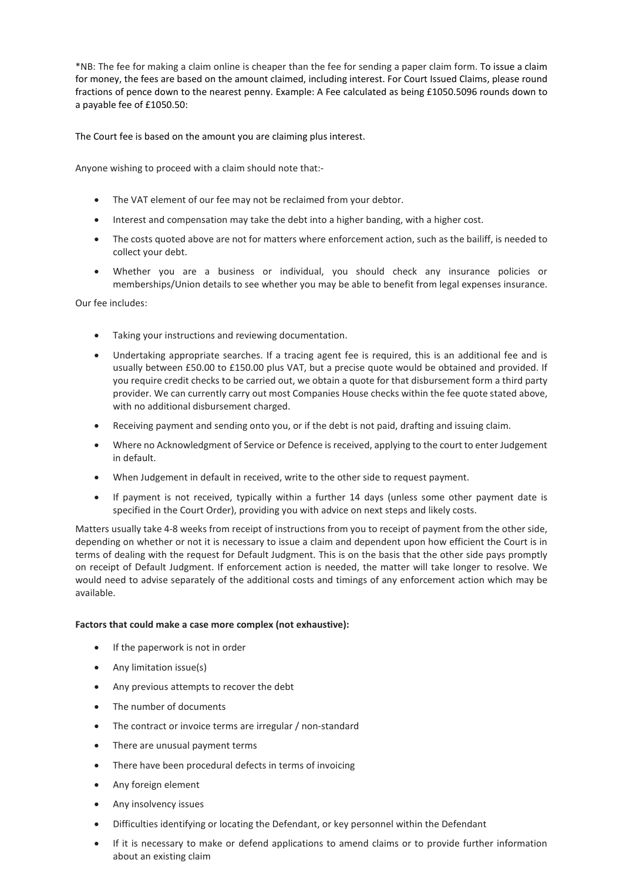\*NB: The fee for making a claim online is cheaper than the fee for sending a paper claim form. To issue a claim for money, the fees are based on the amount claimed, including interest. For Court Issued Claims, please round fractions of pence down to the nearest penny. Example: A Fee calculated as being £1050.5096 rounds down to a payable fee of £1050.50:

The Court fee is based on the amount you are claiming plus interest.

Anyone wishing to proceed with a claim should note that:-

- The VAT element of our fee may not be reclaimed from your debtor.
- Interest and compensation may take the debt into a higher banding, with a higher cost.
- The costs quoted above are not for matters where enforcement action, such as the bailiff, is needed to collect your debt.
- Whether you are a business or individual, you should check any insurance policies or memberships/Union details to see whether you may be able to benefit from legal expenses insurance.

Our fee includes:

- Taking your instructions and reviewing documentation.
- Undertaking appropriate searches. If a tracing agent fee is required, this is an additional fee and is usually between £50.00 to £150.00 plus VAT, but a precise quote would be obtained and provided. If you require credit checks to be carried out, we obtain a quote for that disbursement form a third party provider. We can currently carry out most Companies House checks within the fee quote stated above, with no additional disbursement charged.
- Receiving payment and sending onto you, or if the debt is not paid, drafting and issuing claim.
- Where no Acknowledgment of Service or Defence is received, applying to the court to enter Judgement in default.
- When Judgement in default in received, write to the other side to request payment.
- If payment is not received, typically within a further 14 days (unless some other payment date is specified in the Court Order), providing you with advice on next steps and likely costs.

Matters usually take 4-8 weeks from receipt of instructions from you to receipt of payment from the other side, depending on whether or not it is necessary to issue a claim and dependent upon how efficient the Court is in terms of dealing with the request for Default Judgment. This is on the basis that the other side pays promptly on receipt of Default Judgment. If enforcement action is needed, the matter will take longer to resolve. We would need to advise separately of the additional costs and timings of any enforcement action which may be available.

## **Factors that could make a case more complex (not exhaustive):**

- If the paperwork is not in order
- Any limitation issue(s)
- Any previous attempts to recover the debt
- The number of documents
- The contract or invoice terms are irregular / non-standard
- There are unusual payment terms
- There have been procedural defects in terms of invoicing
- Any foreign element
- Any insolvency issues
- Difficulties identifying or locating the Defendant, or key personnel within the Defendant
- If it is necessary to make or defend applications to amend claims or to provide further information about an existing claim